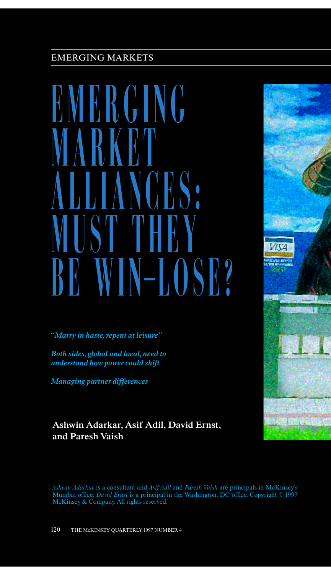# EMERGING MARKETS

# EKGING MARKET ALLIANGES: MUST THEY WIN–LOSE?

*"Marry in haste, repent at leisure"*

*Both sides, global and local, need to understand how power could shiƒt*

*Managing partner diƒferences*

**Ashwin Adarkar, Asif Adil, David Ernst, and Paresh Vaish**

*Ashwin Adarkar* is a consultant and *Asif Adil* and *Paresh Vaish* are principals in McKinsey's Mumbai oƒfice; *David Ernst* is a principal in the Washington, DC oƒfice. Copyright © 1997 McKinsey & Company. All rights reserved.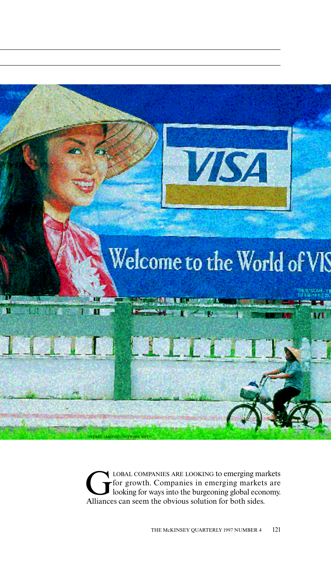

LOBAL COMPANIES ARE LOOKING to emerging markets<br>for growth. Companies in emerging markets are<br>looking for ways into the burgeoning global economy.<br>Alliances can seem the obvious solution for both sides for growth. Companies in emerging markets are looking for ways into the burgeoning global economy. Alliances can seem the obvious solution for both sides.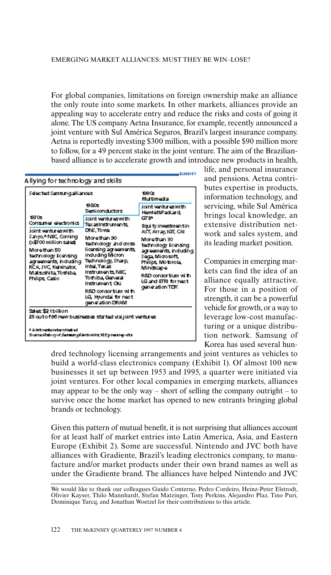For global companies, limitations on foreign ownership make an alliance the only route into some markets. In other markets, alliances provide an appealing way to accelerate entry and reduce the risks and costs of going it alone. The US company Aetna Insurance, for example, recently announced a joint venture with Sul América Seguros, Brazil's largest insurance company. Aetna is reportedly investing \$300 million, with a possible \$90 million more to follow, for a 49 percent stake in the joint venture. The aim of the Brazilianbased alliance is to accelerate growth and introduce new products in health,

| 1950s<br>Semiconductors<br>Joint vantures with<br>Texasinstruments.<br>DNS, Towa<br>Morethan 90.<br>technology and cross-<br>licensing agreements,<br>induding Micron | Joint ventures with<br><b>HowlettPadcard</b><br>எ⊭<br>Bguilty investment in<br>AST, Array, IGT, CAI<br>More than 30.<br>technology (censing<br>agreements, induding |  |  |  |  |  |  |
|-----------------------------------------------------------------------------------------------------------------------------------------------------------------------|---------------------------------------------------------------------------------------------------------------------------------------------------------------------|--|--|--|--|--|--|
|                                                                                                                                                                       |                                                                                                                                                                     |  |  |  |  |  |  |
|                                                                                                                                                                       |                                                                                                                                                                     |  |  |  |  |  |  |
|                                                                                                                                                                       |                                                                                                                                                                     |  |  |  |  |  |  |
| Technology, Sharp, I<br>Intel. Texas<br>instruments, NBC,<br>Toshiba General<br>Instrument Oki<br>RSD consortium with<br>LG, Hyundai for next                         | Sega Microsoft.<br>Philips, Motorola,<br><b>Mindscape</b><br>RSD consortium with<br>LG and ETRI for next<br>generation TEK                                          |  |  |  |  |  |  |
| generation DRAM<br>Sales \$21billion<br>25 outo 196 new businesses started via joint ventures.                                                                        |                                                                                                                                                                     |  |  |  |  |  |  |
|                                                                                                                                                                       |                                                                                                                                                                     |  |  |  |  |  |  |

life, and personal insurance and pensions. Aetna contributes expertise in products, information technology, and servicing, while Sul América brings local knowledge, an extensive distribution network and sales system, and its leading market position.

Companies in emerging markets can find the idea of an alliance equally attractive. For those in a position of strength, it can be a powerful vehicle for growth, or a way to leverage low-cost manufacturing or a unique distribution network. Samsung of Korea has used several hun-

dred technology licensing arrangements and joint ventures as vehicles to build a world-class electronics company (Exhibit 1). Of almost 100 new businesses it set up between 1953 and 1995, a quarter were initiated via joint ventures. For other local companies in emerging markets, alliances may appear to be the only way – short of selling the company outright – to survive once the home market has opened to new entrants bringing global brands or technology.

Given this pattern of mutual benefit, it is not surprising that alliances account for at least half of market entries into Latin America, Asia, and Eastern Europe (Exhibit 2). Some are successful. Nintendo and JVC both have alliances with Gradiente, Brazil's leading electronics company, to manufacture and/or market products under their own brand names as well as under the Gradiente brand. The alliances have helped Nintendo and JVC

We would like to thank our colleagues Guido Conterno, Pedro Cordeiro, Heinz-Peter Elstrodt, Olivier Kayser, Thilo Mannhardt, Stefan Matzinger, Tony Perkins, Alejandro Plaz, Tino Puri, Dominique Turcq, and Jonathan Woetzel for their contributions to this article.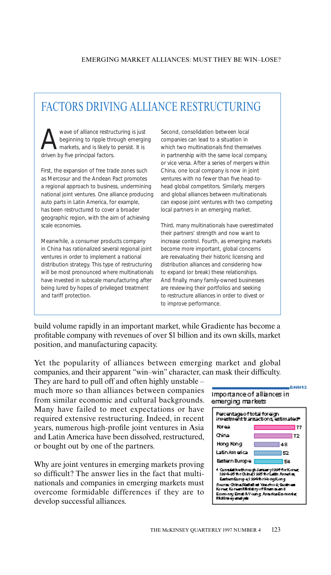# EMERGING MARKET ALLIANCES: MUST THEY BE WIN–LOSE?

# FACTORS DRIVING ALLIANCE RESTRUCTURING

wave of alliance restructuring is just<br>beginning to ripple through emergin<br>markets, and is likely to persist. It is<br>driven by five principal factors beginning to ripple through emerging driven by five principal factors.

First, the expansion of free trade zones such as Mercosur and the Andean Pact promotes a regional approach to business, undermining national joint ventures. One alliance producing auto parts in Latin America, for example, has been restructured to cover a broader geographic region, with the aim of achieving scale economies.

Meanwhile, a consumer products company in China has rationalized several regional joint ventures in order to implement a national distribution strategy. This type of restructuring will be most pronounced where multinationals have invested in subscale manufacturing after being lured by hopes of privileged treatment and tariff protection.

Second, consolidation between local companies can lead to a situation in which two multinationals find themselves in partnership with the same local company, or *vice versa.* After a series of mergers within China, one local company is now in joint ventures with no fewer than five head-tohead global competitors. Similarly, mergers and global alliances between multinationals can expose joint ventures with two competing local partners in an emerging market.

Third, many multinationals have overestimated their partners' strength and now want to increase control. Fourth, as emerging markets become more important, global concerns are reevaluating their historic licensing and distribution alliances and considering how to expand (or break) these relationships. And finally, many family-owned businesses are reviewing their portfolios and seeking to restructure alliances in order to divest or to improve performance.

build volume rapidly in an important market, while Gradiente has become a profitable company with revenues of over \$1 billion and its own skills, market position, and manufacturing capacity.

Yet the popularity of alliances between emerging market and global companies, and their apparent "win–win" character, can mask their difficulty. They are hard to pull off and often highly unstable  $-$ 

much more so than alliances between companies from similar economic and cultural backgrounds. Many have failed to meet expectations or have required extensive restructuring. Indeed, in recent years, numerous high-profile joint ventures in Asia and Latin America have been dissolved, restructured, or bought out by one of the partners.

Why are joint ventures in emerging markets proving so difficult? The answer lies in the fact that multinationals and companies in emerging markets must overcome formidable differences if they are to develop successful alliances.

## CHUNG, Importance of alliances in emerging markets

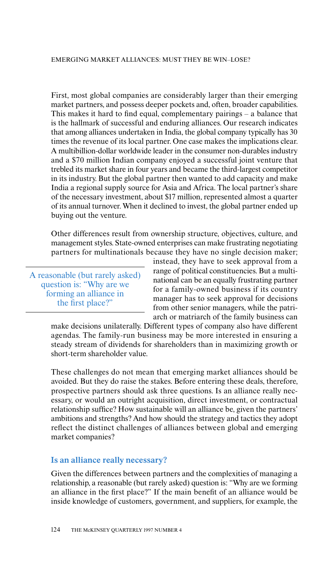First, most global companies are considerably larger than their emerging market partners, and possess deeper pockets and, often, broader capabilities. This makes it hard to find equal, complementary pairings – a balance that is the hallmark of successful and enduring alliances. Our research indicates that among alliances undertaken in India, the global company typically has 30 times the revenue of its local partner. One case makes the implications clear. A multibillion-dollar worldwide leader in the consumer non-durables industry and a \$70 million Indian company enjoyed a successful joint venture that trebled its market share in four years and became the third-largest competitor in its industry. But the global partner then wanted to add capacity and make India a regional supply source for Asia and Africa. The local partner's share of the necessary investment, about \$17 million, represented almost a quarter of its annual turnover. When it declined to invest, the global partner ended up buying out the venture.

Other differences result from ownership structure, objectives, culture, and management styles. State-owned enterprises can make frustrating negotiating partners for multinationals because they have no single decision maker;

A reasonable (but rarely asked) question is: "Why are we forming an alliance in the first place?"

instead, they have to seek approval from a range of political constituencies. But a multinational can be an equally frustrating partner for a family-owned business if its country manager has to seek approval for decisions from other senior managers, while the patriarch or matriarch of the family business can

make decisions unilaterally. Different types of company also have different agendas. The family-run business may be more interested in ensuring a steady stream of dividends for shareholders than in maximizing growth or short-term shareholder value.

These challenges do not mean that emerging market alliances should be avoided. But they do raise the stakes. Before entering these deals, therefore, prospective partners should ask three questions. Is an alliance really necessary, or would an outright acquisition, direct investment, or contractual relationship suffice? How sustainable will an alliance be, given the partners' ambitions and strengths? And how should the strategy and tactics they adopt reflect the distinct challenges of alliances between global and emerging market companies?

# **Is an alliance really necessary?**

Given the differences between partners and the complexities of managing a relationship, a reasonable (but rarely asked) question is: "Why are we forming an alliance in the first place?" If the main benefit of an alliance would be inside knowledge of customers, government, and suppliers, for example, the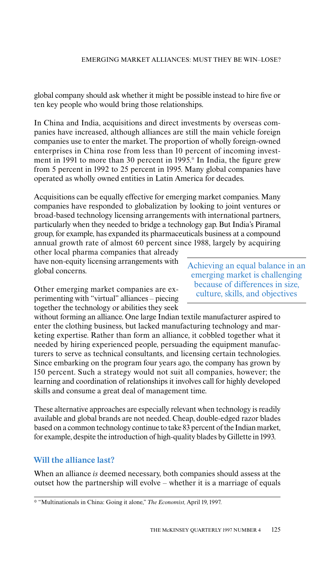global company should ask whether it might be possible instead to hire five or ten key people who would bring those relationships.

In China and India, acquisitions and direct investments by overseas companies have increased, although alliances are still the main vehicle foreign companies use to enter the market. The proportion of wholly foreign-owned enterprises in China rose from less than 10 percent of incoming investment in 1991 to more than 30 percent in 1995.\* In India, the figure grew from 5 percent in 1992 to 25 percent in 1995. Many global companies have operated as wholly owned entities in Latin America for decades.

Acquisitions can be equally effective for emerging market companies. Many companies have responded to globalization by looking to joint ventures or broad-based technology licensing arrangements with international partners, particularly when they needed to bridge a technology gap. But India's Piramal group, for example, has expanded its pharmaceuticals business at a compound annual growth rate of almost 60 percent since 1988, largely by acquiring

other local pharma companies that already have non-equity licensing arrangements with global concerns.

Other emerging market companies are experimenting with "virtual" alliances – piecing together the technology or abilities they seek Achieving an equal balance in an emerging market is challenging because of differences in size, culture, skills, and objectives

without forming an alliance. One large Indian textile manufacturer aspired to enter the clothing business, but lacked manufacturing technology and marketing expertise. Rather than form an alliance, it cobbled together what it needed by hiring experienced people, persuading the equipment manufacturers to serve as technical consultants, and licensing certain technologies. Since embarking on the program four years ago, the company has grown by 150 percent. Such a strategy would not suit all companies, however; the learning and coordination of relationships it involves call for highly developed skills and consume a great deal of management time.

These alternative approaches are especially relevant when technology is readily available and global brands are not needed. Cheap, double-edged razor blades based on a common technology continue to take 83 percent of the Indian market, for example, despite the introduction of high-quality blades by Gillette in 1993.

# **Will the alliance last?**

When an alliance *is* deemed necessary, both companies should assess at the outset how the partnership will evolve – whether it is a marriage of equals

<sup>≠ &</sup>quot;Multinationals in China: Going it alone," *The Economist,* April 19, 1997.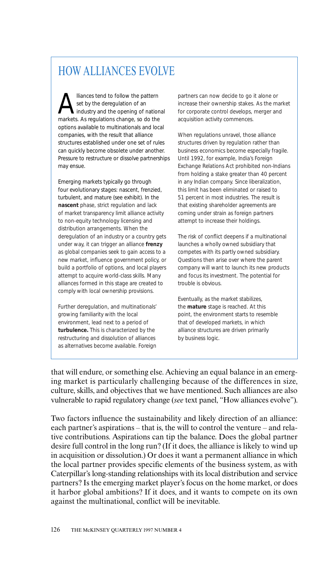# HOW ALLIANCES EVOLVE

**Alliances tend to follow the pattern<br>
set by the deregulation of an<br>
industry and the opening of national<br>
markets. As regulations change, so do the** set by the deregulation of an markets. As regulations change, so do the options available to multinationals and local companies, with the result that alliance structures established under one set of rules can quickly become obsolete under another. Pressure to restructure or dissolve partnerships may ensue.

Emerging markets typically go through four evolutionary stages: nascent, frenzied, turbulent, and mature (*see* exhibit). In the **nascent** phase, strict regulation and lack of market transparency limit alliance activity to non-equity technology licensing and distribution arrangements. When the deregulation of an industry or a country gets under way, it can trigger an alliance **frenzy**  as global companies seek to gain access to a new market, influence government policy, or build a portfolio of options, and local players attempt to acquire world-class skills. Many alliances formed in this stage are created to comply with local ownership provisions.

Further deregulation, and multinationals' growing familiarity with the local environment, lead next to a period of **turbulence.** This is characterized by the restructuring and dissolution of alliances as alternatives become available. Foreign partners can now decide to go it alone or increase their ownership stakes. As the market for corporate control develops, merger and acquisition activity commences.

When regulations unravel, those alliance structures driven by regulation rather than business economics become especially fragile. Until 1992, for example, India's Foreign Exchange Relations Act prohibited non-Indians from holding a stake greater than 40 percent in any Indian company. Since liberalization, this limit has been eliminated or raised to 51 percent in most industries. The result is that existing shareholder agreements are coming under strain as foreign partners attempt to increase their holdings.

The risk of conflict deepens if a multinational launches a wholly owned subsidiary that competes with its partly owned subsidiary. Questions then arise over where the parent company will want to launch its new products and focus its investment. The potential for trouble is obvious.

Eventually, as the market stabilizes, the **mature** stage is reached. At this point, the environment starts to resemble that of developed markets, in which alliance structures are driven primarily by business logic.

that will endure, or something else. Achieving an equal balance in an emerging market is particularly challenging because of the diƒferences in size, culture, skills, and objectives that we have mentioned. Such alliances are also vulnerable to rapid regulatory change (*see* text panel, "How alliances evolve").

Two factors influence the sustainability and likely direction of an alliance: each partner's aspirations – that is, the will to control the venture – and relative contributions. Aspirations can tip the balance. Does the global partner desire full control in the long run? (If it does, the alliance is likely to wind up in acquisition or dissolution.) Or does it want a permanent alliance in which the local partner provides specific elements of the business system, as with Caterpillar's long-standing relationships with its local distribution and service partners? Is the emerging market player's focus on the home market, or does it harbor global ambitions? If it does, and it wants to compete on its own against the multinational, conflict will be inevitable.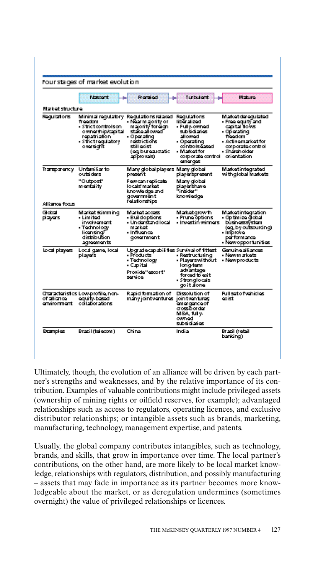| Four stages of market evolution |                                                                                                                       |                                                                                                                                                                                       |                                                                                                                                                       |                                                                                                                                                                |  |  |  |
|---------------------------------|-----------------------------------------------------------------------------------------------------------------------|---------------------------------------------------------------------------------------------------------------------------------------------------------------------------------------|-------------------------------------------------------------------------------------------------------------------------------------------------------|----------------------------------------------------------------------------------------------------------------------------------------------------------------|--|--|--|
|                                 | Nascent                                                                                                               | <b>Fransed</b>                                                                                                                                                                        | Turbulent                                                                                                                                             | Mature                                                                                                                                                         |  |  |  |
| Market structure.               |                                                                                                                       |                                                                                                                                                                                       |                                                                                                                                                       |                                                                                                                                                                |  |  |  |
| Regulations                     | freedom.<br>- Strictcontrolson<br>ownership/capital<br>repatriation<br>•Strictrequiatorγ<br>oversight                 | Minimal regulatory. Regulations relaxed.<br>- Nearm ajonty or<br>majority foreign<br>stake allowed i<br>• Operating<br>restrictions<br>still exist.<br>(eg bureaugatic<br>approvals). | Regulations<br>liberalized<br>• Fully-owned<br>subiscianes<br>allowed<br>• Operating<br>controls@ased<br>• Market for<br>corporate control<br>emerges | Market der equiated<br>• Free equity and<br>capital llows<br>• Operating<br>treedom<br>- Activemarket for<br>corporate control<br>• Shareholder<br>orientation |  |  |  |
| Тгатарателсу                    | Untamiliar to<br>outsiders                                                                                            | many global players. Many global,<br>present                                                                                                                                          | playerspresent                                                                                                                                        | Marketintegrated<br>withglobal markets.                                                                                                                        |  |  |  |
|                                 | "Outpost"<br>m entality.                                                                                              | Few can replicate.<br>locals market.<br>knowledge and<br>qovernment<br>relationships                                                                                                  | many global<br>playershave<br>"inäder"<br>knowledge                                                                                                   |                                                                                                                                                                |  |  |  |
| Alliance focus                  |                                                                                                                       |                                                                                                                                                                                       |                                                                                                                                                       |                                                                                                                                                                |  |  |  |
| Globall<br>players              | Market stimming.<br>- Limited<br>involvement.<br>• Technology<br>licensina <sup>r</sup><br>distribution<br>agreements | Marketacoas:<br>• Buildoptions<br>• Understand local<br>market<br>- Influence<br>government                                                                                           | Market growth.<br>- Frune options<br>• Investiri vánners                                                                                              | Marketintegration.<br>• Op tim ize global<br>bushezsystem<br>(eg, by outsourding).<br>• Improve<br>per form ance<br>- New opportunities                        |  |  |  |
| lo cal players                  | Local game, local<br>players                                                                                          | Upgrade capabilities Survival of fittest<br>- Products<br>• Technology<br>- Capital                                                                                                   | - Restructuring<br>- Playerswithout<br>long-term                                                                                                      | Genuine allianoesi<br>- Nawm akats<br>- Newproducts                                                                                                            |  |  |  |
|                                 |                                                                                                                       | Provide"escort"<br>service                                                                                                                                                            | advantage<br>forced to exit<br>• Stronglocals<br>go it Bone.                                                                                          |                                                                                                                                                                |  |  |  |
| of alliance.<br>emirorment      | Characterístics Low-profile, non-<br>equity-based<br>collationations.                                                 | Rapid formation of<br>manyjointventures jointventures                                                                                                                                 | Dissolution of<br>emergence of<br>σœsΣorder<br>MSA, 10 Y.<br>owned<br>subsidaries                                                                     | <b>Pull set of vehicles</b><br>exist                                                                                                                           |  |  |  |
| Examples                        | Brazil (telecom ).                                                                                                    | China                                                                                                                                                                                 | India                                                                                                                                                 | Brazól (retail<br>banking).                                                                                                                                    |  |  |  |

Ultimately, though, the evolution of an alliance will be driven by each partner's strengths and weaknesses, and by the relative importance of its contribution. Examples of valuable contributions might include privileged assets (ownership of mining rights or oilfield reserves, for example); advantaged relationships such as access to regulators, operating licences, and exclusive distributor relationships; or intangible assets such as brands, marketing, manufacturing, technology, management expertise, and patents.

Usually, the global company contributes intangibles, such as technology, brands, and skills, that grow in importance over time. The local partner's contributions, on the other hand, are more likely to be local market knowledge, relationships with regulators, distribution, and possibly manufacturing – assets that may fade in importance as its partner becomes more knowledgeable about the market, or as deregulation undermines (sometimes overnight) the value of privileged relationships or licences.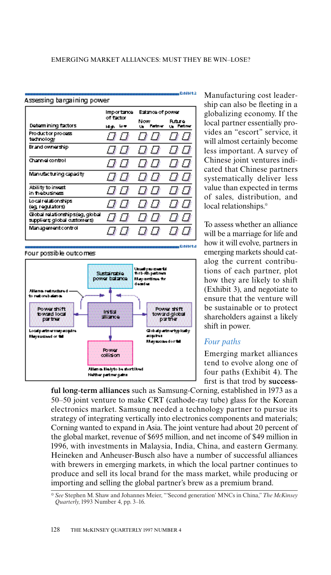**CHAINE2** 

.<br>Developed

### Assessing bargaining power

|                                                               | Importance             | Extence of power      |                           |
|---------------------------------------------------------------|------------------------|-----------------------|---------------------------|
| Determining factors                                           | of factor<br>н∌ ⊵≖     | Now<br>Fartner.<br>ш. | <b>Future</b><br>u, Fatne |
| Productor process<br>technology                               |                        |                       |                           |
| Brand ownership                                               | 7 E F F                |                       |                           |
| Channel control                                               | OО                     | Δ                     | □                         |
| Manufacturing capacity                                        | DШ                     | L.E.                  | ЦU                        |
| Ability to invest<br>in thebusiness                           | Oυ                     | Lŧ                    | LB.                       |
| Local relationships<br>(eg regulators)                        | ПĦ                     | П                     | Oυ                        |
| Gobal relationships(eg, global<br>suppliers global oustomers) | $\bm{B}$ $\bm{\varPi}$ | ГЕ                    |                           |
| Management control                                            |                        |                       |                           |

# Four possible outcomes



Manufacturing cost leadership can also be fleeting in a globalizing economy. If the local partner essentially provides an "escort" service, it will almost certainly become less important. A survey of Chinese joint ventures indicated that Chinese partners systematically deliver less value than expected in terms of sales, distribution, and local relationships.\*

To assess whether an alliance will be a marriage for life and how it will evolve, partners in emerging markets should catalog the current contributions of each partner, plot how they are likely to shift (Exhibit 3), and negotiate to ensure that the venture will be sustainable or to protect shareholders against a likely shift in power.

# *Four paths*

Emerging market alliances tend to evolve along one of four paths (Exhibit 4). The first is that trod by **success-**

**ful long-term alliances** such as Samsung-Corning, established in 1973 as a 50–50 joint venture to make CRT (cathode-ray tube) glass for the Korean electronics market. Samsung needed a technology partner to pursue its strategy of integrating vertically into electronics components and materials; Corning wanted to expand in Asia. The joint venture had about 20 percent of the global market, revenue of \$695 million, and net income of \$49 million in 1996, with investments in Malaysia, India, China, and eastern Germany. Heineken and Anheuser-Busch also have a number of successful alliances with brewers in emerging markets, in which the local partner continues to produce and sell its local brand for the mass market, while producing or importing and selling the global partner's brew as a premium brand.

<sup>≠</sup> *See* Stephen M. Shaw and Johannes Meier, "'Second generation' MNCs in China," *The McKinsey Quarterly,* 1993 Number 4, pp. 3–16.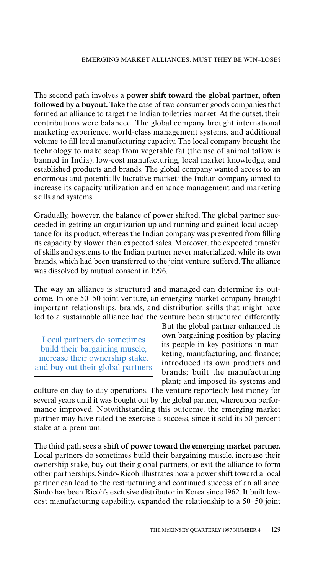The second path involves a **power shift toward the global partner, often followed by a buyout.** Take the case of two consumer goods companies that formed an alliance to target the Indian toiletries market. At the outset, their contributions were balanced. The global company brought international marketing experience, world-class management systems, and additional volume to fill local manufacturing capacity. The local company brought the technology to make soap from vegetable fat (the use of animal tallow is banned in India), low-cost manufacturing, local market knowledge, and established products and brands. The global company wanted access to an enormous and potentially lucrative market; the Indian company aimed to increase its capacity utilization and enhance management and marketing skills and systems.

Gradually, however, the balance of power shifted. The global partner succeeded in getting an organization up and running and gained local acceptance for its product, whereas the Indian company was prevented from filling its capacity by slower than expected sales. Moreover, the expected transfer of skills and systems to the Indian partner never materialized, while its own brands, which had been transferred to the joint venture, suƒfered. The alliance was dissolved by mutual consent in 1996.

The way an alliance is structured and managed can determine its outcome. In one 50–50 joint venture, an emerging market company brought important relationships, brands, and distribution skills that might have led to a sustainable alliance had the venture been structured differently.

Local partners do sometimes build their bargaining muscle, increase their ownership stake, and buy out their global partners

But the global partner enhanced its own bargaining position by placing its people in key positions in marketing, manufacturing, and finance; introduced its own products and brands; built the manufacturing plant; and imposed its systems and

culture on day-to-day operations. The venture reportedly lost money for several years until it was bought out by the global partner, whereupon performance improved. Notwithstanding this outcome, the emerging market partner may have rated the exercise a success, since it sold its 50 percent stake at a premium.

The third path sees a **shiƒt of power toward the emerging market partner.** Local partners do sometimes build their bargaining muscle, increase their ownership stake, buy out their global partners, or exit the alliance to form other partnerships. Sindo-Ricoh illustrates how a power shift toward a local partner can lead to the restructuring and continued success of an alliance. Sindo has been Ricoh's exclusive distributor in Korea since 1962. It built lowcost manufacturing capability, expanded the relationship to a 50–50 joint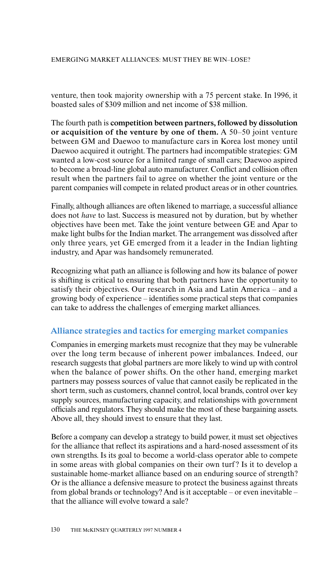venture, then took majority ownership with a 75 percent stake. In 1996, it boasted sales of \$309 million and net income of \$38 million.

The fourth path is **competition between partners, followed by dissolution or acquisition of the venture by one of them.** A 50–50 joint venture between GM and Daewoo to manufacture cars in Korea lost money until Daewoo acquired it outright. The partners had incompatible strategies: GM wanted a low-cost source for a limited range of small cars; Daewoo aspired to become a broad-line global auto manufacturer. Conflict and collision oƒten result when the partners fail to agree on whether the joint venture or the parent companies will compete in related product areas or in other countries.

Finally, although alliances are often likened to marriage, a successful alliance does not *have* to last. Success is measured not by duration, but by whether objectives have been met. Take the joint venture between GE and Apar to make light bulbs for the Indian market. The arrangement was dissolved after only three years, yet GE emerged from it a leader in the Indian lighting industry, and Apar was handsomely remunerated.

Recognizing what path an alliance is following and how its balance of power is shifting is critical to ensuring that both partners have the opportunity to satisfy their objectives. Our research in Asia and Latin America – and a growing body of experience – identifies some practical steps that companies can take to address the challenges of emerging market alliances.

# **Alliance strategies and tactics for emerging market companies**

Companies in emerging markets must recognize that they may be vulnerable over the long term because of inherent power imbalances. Indeed, our research suggests that global partners are more likely to wind up with control when the balance of power shifts. On the other hand, emerging market partners may possess sources of value that cannot easily be replicated in the short term, such as customers, channel control, local brands, control over key supply sources, manufacturing capacity, and relationships with government oƒficials and regulators. They should make the most of these bargaining assets. Above all, they should invest to ensure that they last.

Before a company can develop a strategy to build power, it must set objectives for the alliance that reflect its aspirations and a hard-nosed assessment of its own strengths. Is its goal to become a world-class operator able to compete in some areas with global companies on their own turf ? Is it to develop a sustainable home-market alliance based on an enduring source of strength? Or is the alliance a defensive measure to protect the business against threats from global brands or technology? And is it acceptable – or even inevitable – that the alliance will evolve toward a sale?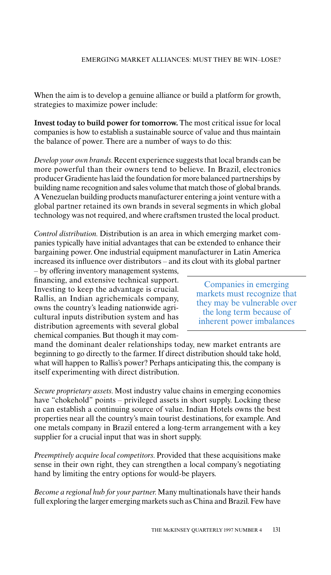When the aim is to develop a genuine alliance or build a platform for growth, strategies to maximize power include:

**Invest today to build power for tomorrow.** The most critical issue for local companies is how to establish a sustainable source of value and thus maintain the balance of power. There are a number of ways to do this:

*Develop your own brands.* Recent experience suggeststhat local brands can be more powerful than their owners tend to believe. In Brazil, electronics producer Gradiente haslaid the foundation for more balanced partnerships by building name recognition and sales volume that match those of global brands. A Venezuelan building products manufacturer entering a joint venture with a global partner retained its own brands in several segments in which global technology was not required, and where craftsmen trusted the local product.

*Control distribution.* Distribution is an area in which emerging market companies typically have initial advantages that can be extended to enhance their bargaining power. One industrial equipment manufacturer in Latin America increased its influence over distributors – and its clout with its global partner

– by oƒfering inventory management systems, financing, and extensive technical support. Investing to keep the advantage is crucial. Rallis, an Indian agrichemicals company, owns the country's leading nationwide agricultural inputs distribution system and has distribution agreements with several global chemical companies. But though it may com-

Companies in emerging markets must recognize that they may be vulnerable over the long term because of inherent power imbalances

mand the dominant dealer relationships today, new market entrants are beginning to go directly to the farmer. If direct distribution should take hold, what will happen to Rallis's power? Perhaps anticipating this, the company is itself experimenting with direct distribution.

*Secure proprietary assets.* Most industry value chains in emerging economies have "chokehold" points – privileged assets in short supply. Locking these in can establish a continuing source of value. Indian Hotels owns the best properties near all the country's main tourist destinations, for example. And one metals company in Brazil entered a long-term arrangement with a key supplier for a crucial input that was in short supply.

*Preemptively acquire local competitors.* Provided that these acquisitions make sense in their own right, they can strengthen a local company's negotiating hand by limiting the entry options for would-be players.

*Become a regional hub for your partner.* Many multinationals have their hands full exploring the larger emerging markets such as China and Brazil. Few have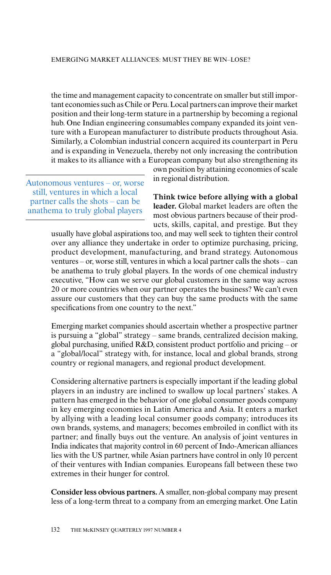the time and management capacity to concentrate on smaller but still important economies such as Chile or Peru. Local partners can improve their market position and their long-term stature in a partnership by becoming a regional hub. One Indian engineering consumables company expanded its joint venture with a European manufacturer to distribute products throughout Asia. Similarly, a Colombian industrial concern acquired its counterpart in Peru and is expanding in Venezuela, thereby not only increasing the contribution it makes to its alliance with a European company but also strengthening its

Autonomous ventures – or, worse still, ventures in which a local partner calls the shots – can be anathema to truly global players

own position by attaining economies of scale in regional distribution.

**Think twice before allying with a global** leader. Global market leaders are often the most obvious partners because of their products, skills, capital, and prestige. But they

usually have global aspirations too, and may well seek to tighten their control over any alliance they undertake in order to optimize purchasing, pricing, product development, manufacturing, and brand strategy. Autonomous ventures – or, worse still, ventures in which a local partner calls the shots – can be anathema to truly global players. In the words of one chemical industry executive, "How can we serve our global customers in the same way across 20 or more countries when our partner operates the business? We can't even assure our customers that they can buy the same products with the same specifications from one country to the next."

Emerging market companies should ascertain whether a prospective partner is pursuing a "global" strategy – same brands, centralized decision making, global purchasing, unified R&D, consistent product portfolio and pricing – or a "global/local" strategy with, for instance, local and global brands, strong country or regional managers, and regional product development.

Considering alternative partners is especially important if the leading global players in an industry are inclined to swallow up local partners' stakes. A pattern has emerged in the behavior of one global consumer goods company in key emerging economies in Latin America and Asia. It enters a market by allying with a leading local consumer goods company; introduces its own brands, systems, and managers; becomes embroiled in conflict with its partner; and finally buys out the venture. An analysis of joint ventures in India indicates that majority control in 60 percent of Indo-American alliances lies with the US partner, while Asian partners have control in only 10 percent of their ventures with Indian companies. Europeans fall between these two extremes in their hunger for control.

**Consider less obvious partners.** A smaller, non-global company may present less of a long-term threat to a company from an emerging market. One Latin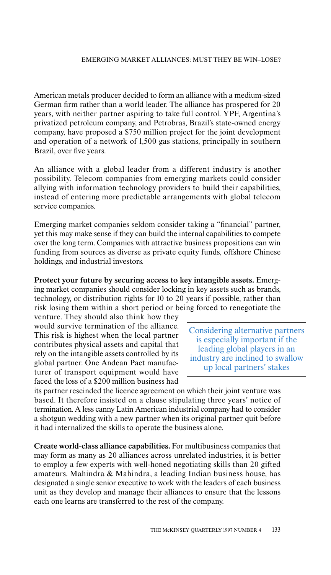American metals producer decided to form an alliance with a medium-sized German firm rather than a world leader. The alliance has prospered for 20 years, with neither partner aspiring to take full control. YPF, Argentina's privatized petroleum company, and Petrobras, Brazil's state-owned energy company, have proposed a \$750 million project for the joint development and operation of a network of 1,500 gas stations, principally in southern Brazil, over five years.

An alliance with a global leader from a different industry is another possibility. Telecom companies from emerging markets could consider allying with information technology providers to build their capabilities, instead of entering more predictable arrangements with global telecom service companies.

Emerging market companies seldom consider taking a "financial" partner, yet this may make sense if they can build the internal capabilities to compete over the long term. Companies with attractive business propositions can win funding from sources as diverse as private equity funds, offshore Chinese holdings, and industrial investors.

**Protect your future by securing access to key intangible assets.** Emerging market companies should consider locking in key assets such as brands, technology, or distribution rights for 10 to 20 years if possible, rather than risk losing them within a short period or being forced to renegotiate the

venture. They should also think how they would survive termination of the alliance. This risk is highest when the local partner contributes physical assets and capital that rely on the intangible assets controlled by its global partner. One Andean Pact manufacturer of transport equipment would have faced the loss of a \$200 million business had

Considering alternative partners is especially important if the leading global players in an industry are inclined to swallow up local partners' stakes

its partner rescinded the licence agreement on which their joint venture was based. It therefore insisted on a clause stipulating three years' notice of termination. A less canny Latin American industrial company had to consider a shotgun wedding with a new partner when its original partner quit before it had internalized the skills to operate the business alone.

**Create world-class alliance capabilities.** For multibusiness companies that may form as many as 20 alliances across unrelated industries, it is better to employ a few experts with well-honed negotiating skills than 20 gifted amateurs. Mahindra & Mahindra, a leading Indian business house, has designated a single senior executive to work with the leaders of each business unit as they develop and manage their alliances to ensure that the lessons each one learns are transferred to the rest of the company.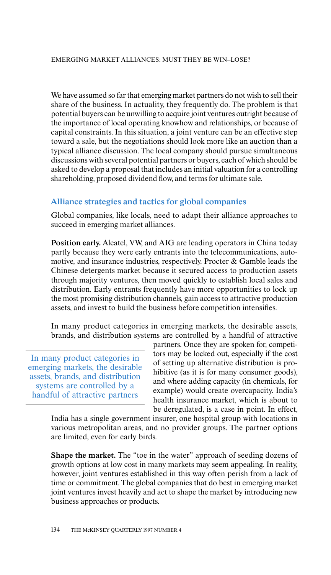We have assumed so far that emerging market partners do not wish to sell their share of the business. In actuality, they frequently do. The problem is that potential buyers can be unwilling to acquire joint ventures outright because of the importance of local operating knowhow and relationships, or because of capital constraints. In this situation, a joint venture can be an eƒfective step toward a sale, but the negotiations should look more like an auction than a typical alliance discussion. The local company should pursue simultaneous discussions with several potential partners or buyers, each of which should be asked to develop a proposal that includes an initial valuation for a controlling shareholding, proposed dividend flow, and terms for ultimate sale.

# **Alliance strategies and tactics for global companies**

Global companies, like locals, need to adapt their alliance approaches to succeed in emerging market alliances.

**Position early.** Alcatel, VW, and AIG are leading operators in China today partly because they were early entrants into the telecommunications, automotive, and insurance industries, respectively. Procter & Gamble leads the Chinese detergents market because it secured access to production assets through majority ventures, then moved quickly to establish local sales and distribution. Early entrants frequently have more opportunities to lock up the most promising distribution channels, gain access to attractive production assets, and invest to build the business before competition intensifies.

In many product categories in emerging markets, the desirable assets, brands, and distribution systems are controlled by a handful of attractive

In many product categories in emerging markets, the desirable assets, brands, and distribution systems are controlled by a handful of attractive partners

partners. Once they are spoken for, competitors may be locked out, especially if the cost of setting up alternative distribution is prohibitive (as it is for many consumer goods), and where adding capacity (in chemicals, for example) would create overcapacity. India's health insurance market, which is about to be deregulated, is a case in point. In effect,

India has a single government insurer, one hospital group with locations in various metropolitan areas, and no provider groups. The partner options are limited, even for early birds.

**Shape the market.** The "toe in the water" approach of seeding dozens of growth options at low cost in many markets may seem appealing. In reality, however, joint ventures established in this way often perish from a lack of time or commitment. The global companies that do best in emerging market joint ventures invest heavily and act to shape the market by introducing new business approaches or products.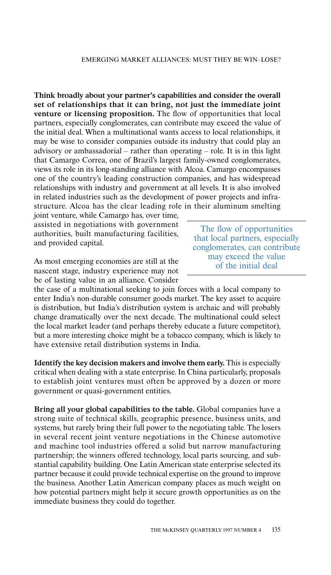**Think broadly about your partner's capabilities and consider the overall set of relationships that it can bring, not just the immediate joint venture or licensing proposition.** The flow of opportunities that local partners, especially conglomerates, can contribute may exceed the value of the initial deal. When a multinational wants access to local relationships, it may be wise to consider companies outside its industry that could play an advisory or ambassadorial – rather than operating – role. It is in this light that Camargo Correa, one of Brazil's largest family-owned conglomerates, views its role in its long-standing alliance with Alcoa. Camargo encompasses one of the country's leading construction companies, and has widespread relationships with industry and government at all levels. It is also involved in related industries such as the development of power projects and infrastructure. Alcoa has the clear leading role in their aluminum smelting

joint venture, while Camargo has, over time, assisted in negotiations with government authorities, built manufacturing facilities, and provided capital.

As most emerging economies are still at the nascent stage, industry experience may not be of lasting value in an alliance. Consider

The flow of opportunities that local partners, especially conglomerates, can contribute may exceed the value of the initial deal

the case of a multinational seeking to join forces with a local company to enter India's non-durable consumer goods market. The key asset to acquire is distribution, but India's distribution system is archaic and will probably change dramatically over the next decade. The multinational could select the local market leader (and perhaps thereby educate a future competitor), but a more interesting choice might be a tobacco company, which is likely to have extensive retail distribution systems in India.

**Identify the key decision makers and involve them early.** This is especially critical when dealing with a state enterprise. In China particularly, proposals to establish joint ventures must often be approved by a dozen or more government or quasi-government entities.

**Bring all your global capabilities to the table.** Global companies have a strong suite of technical skills, geographic presence, business units, and systems, but rarely bring their full power to the negotiating table. The losers in several recent joint venture negotiations in the Chinese automotive and machine tool industries offered a solid but narrow manufacturing partnership; the winners offered technology, local parts sourcing, and substantial capability building. One Latin American state enterprise selected its partner because it could provide technical expertise on the ground to improve the business. Another Latin American company places as much weight on how potential partners might help it secure growth opportunities as on the immediate business they could do together.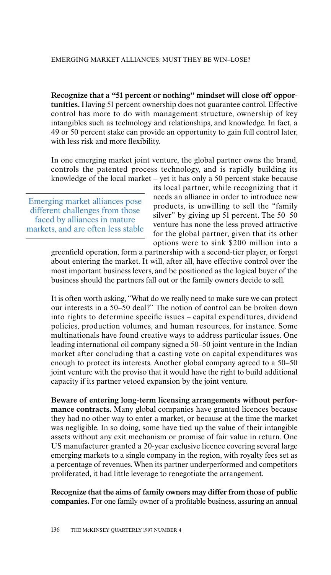## EMERGING MARKET ALLIANCES: MUST THEY BE WIN–LOSE?

Recognize that a "51 percent or nothing" mindset will close off opportunities. Having 51 percent ownership does not guarantee control. Effective control has more to do with management structure, ownership of key intangibles such as technology and relationships, and knowledge. In fact, a 49 or 50 percent stake can provide an opportunity to gain full control later, with less risk and more flexibility.

In one emerging market joint venture, the global partner owns the brand, controls the patented process technology, and is rapidly building its knowledge of the local market – yet it has only a 50 percent stake because

Emerging market alliances pose different challenges from those faced by alliances in mature markets, and are often less stable its local partner, while recognizing that it needs an alliance in order to introduce new products, is unwilling to sell the "family silver" by giving up 51 percent. The 50–50 venture has none the less proved attractive for the global partner, given that its other options were to sink \$200 million into a

greenfield operation, form a partnership with a second-tier player, or forget about entering the market. It will, after all, have effective control over the most important business levers, and be positioned as the logical buyer of the business should the partners fall out or the family owners decide to sell.

It is often worth asking, "What do we really need to make sure we can protect our interests in a 50–50 deal?" The notion of control can be broken down into rights to determine specific issues – capital expenditures, dividend policies, production volumes, and human resources, for instance. Some multinationals have found creative ways to address particular issues. One leading international oil company signed a 50–50 joint venture in the Indian market after concluding that a casting vote on capital expenditures was enough to protect its interests. Another global company agreed to a 50–50 joint venture with the proviso that it would have the right to build additional capacity if its partner vetoed expansion by the joint venture.

**Beware of entering long-term licensing arrangements without performance contracts.** Many global companies have granted licences because they had no other way to enter a market, or because at the time the market was negligible. In so doing, some have tied up the value of their intangible assets without any exit mechanism or promise of fair value in return. One US manufacturer granted a 20-year exclusive licence covering several large emerging markets to a single company in the region, with royalty fees set as a percentage of revenues. When its partner underperformed and competitors proliferated, it had little leverage to renegotiate the arrangement.

**Recognize that the aims of family owners may diƒfer from those of public companies.** For one family owner of a profitable business, assuring an annual